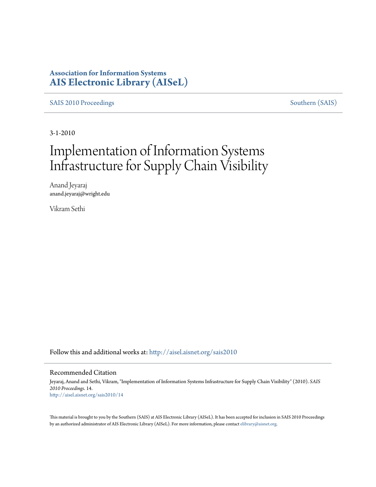### **Association for Information Systems [AIS Electronic Library \(AISeL\)](http://aisel.aisnet.org?utm_source=aisel.aisnet.org%2Fsais2010%2F14&utm_medium=PDF&utm_campaign=PDFCoverPages)**

[SAIS 2010 Proceedings](http://aisel.aisnet.org/sais2010?utm_source=aisel.aisnet.org%2Fsais2010%2F14&utm_medium=PDF&utm_campaign=PDFCoverPages) [Southern \(SAIS\)](http://aisel.aisnet.org/sais?utm_source=aisel.aisnet.org%2Fsais2010%2F14&utm_medium=PDF&utm_campaign=PDFCoverPages)

3-1-2010

# Implementation of Information Systems Infrastructure for Supply Chain Visibility

Anand Jeyaraj anand.jeyaraj@wright.edu

Vikram Sethi

Follow this and additional works at: [http://aisel.aisnet.org/sais2010](http://aisel.aisnet.org/sais2010?utm_source=aisel.aisnet.org%2Fsais2010%2F14&utm_medium=PDF&utm_campaign=PDFCoverPages)

#### Recommended Citation

Jeyaraj, Anand and Sethi, Vikram, "Implementation of Information Systems Infrastructure for Supply Chain Visibility" (2010). *SAIS 2010 Proceedings*. 14. [http://aisel.aisnet.org/sais2010/14](http://aisel.aisnet.org/sais2010/14?utm_source=aisel.aisnet.org%2Fsais2010%2F14&utm_medium=PDF&utm_campaign=PDFCoverPages)

This material is brought to you by the Southern (SAIS) at AIS Electronic Library (AISeL). It has been accepted for inclusion in SAIS 2010 Proceedings by an authorized administrator of AIS Electronic Library (AISeL). For more information, please contact [elibrary@aisnet.org](mailto:elibrary@aisnet.org%3E).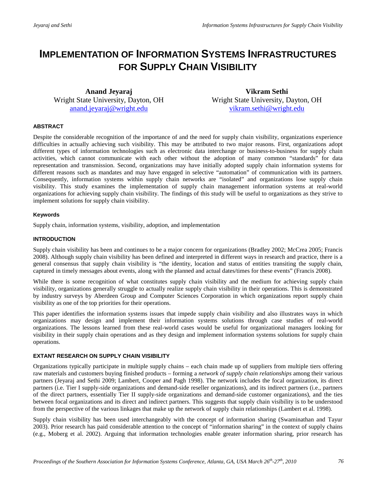## **IMPLEMENTATION OF INFORMATION SYSTEMS INFRASTRUCTURES FOR SUPPLY CHAIN VISIBILITY**

**Anand Jeyaraj** Wright State University, Dayton, OH [anand.jeyaraj@wright.edu](mailto:anand.jeyaraj@wright.edu) 

**Vikram Sethi** Wright State University, Dayton, OH [vikram.sethi@wright.edu](mailto:vikram.sethi@wright.edu) 

#### **ABSTRACT**

Despite the considerable recognition of the importance of and the need for supply chain visibility, organizations experience difficulties in actually achieving such visibility. This may be attributed to two major reasons. First, organizations adopt different types of information technologies such as electronic data interchange or business-to-business for supply chain activities, which cannot communicate with each other without the adoption of many common "standards" for data representation and transmission. Second, organizations may have initially adopted supply chain information systems for different reasons such as mandates and may have engaged in selective "automation" of communication with its partners. Consequently, information systems within supply chain networks are "isolated" and organizations lose supply chain visibility. This study examines the implementation of supply chain management information systems at real-world organizations for achieving supply chain visibility. The findings of this study will be useful to organizations as they strive to implement solutions for supply chain visibility.

#### **Keywords**

Supply chain, information systems, visibility, adoption, and implementation

#### **INTRODUCTION**

Supply chain visibility has been and continues to be a major concern for organizations (Bradley 2002; McCrea 2005; Francis 2008). Although supply chain visibility has been defined and interpreted in different ways in research and practice, there is a general consensus that supply chain visibility is "the identity, location and status of entities transiting the supply chain, captured in timely messages about events, along with the planned and actual dates/times for these events" (Francis 2008).

While there is some recognition of what constitutes supply chain visibility and the medium for achieving supply chain visibility, organizations generally struggle to actually realize supply chain visibility in their operations. This is demonstrated by industry surveys by Aberdeen Group and Computer Sciences Corporation in which organizations report supply chain visibility as one of the top priorities for their operations.

This paper identifies the information systems issues that impede supply chain visibility and also illustrates ways in which organizations may design and implement their information systems solutions through case studies of real-world organizations. The lessons learned from these real-world cases would be useful for organizational managers looking for visibility in their supply chain operations and as they design and implement information systems solutions for supply chain operations.

#### **EXTANT RESEARCH ON SUPPLY CHAIN VISIBILITY**

Organizations typically participate in multiple supply chains – each chain made up of suppliers from multiple tiers offering raw materials and customers buying finished products – forming a *network of supply chain relationships* among their various partners (Jeyaraj and Sethi 2009; Lambert, Cooper and Pagh 1998). The network includes the focal organization, its direct partners (i.e. Tier I supply-side organizations and demand-side reseller organizations), and its indirect partners (i.e., partners of the direct partners, essentially Tier II supply-side organizations and demand-side customer organizations), and the ties between focal organizations and its direct and indirect partners. This suggests that supply chain visibility is to be understood from the perspective of the various linkages that make up the network of supply chain relationships (Lambert et al. 1998).

Supply chain visibility has been used interchangeably with the concept of information sharing (Swaminathan and Tayur 2003). Prior research has paid considerable attention to the concept of "information sharing" in the context of supply chains (e.g., Moberg et al. 2002). Arguing that information technologies enable greater information sharing, prior research has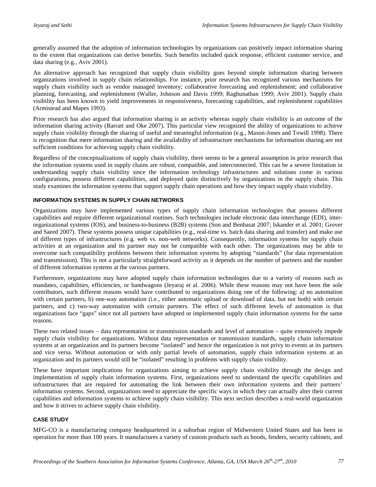generally assumed that the adoption of information technologies by organizations can positively impact information sharing to the extent that organizations can derive benefits. Such benefits included quick response, efficient customer service, and data sharing (e.g., Aviv 2001).

An alternative approach has recognized that supply chain visibility goes beyond simple information sharing between organizations involved in supply chain relationships. For instance, prior research has recognized various mechanisms for supply chain visibility such as vendor managed inventory; collaborative forecasting and replenishment; and collaborative planning, forecasting, and replenishment (Waller, Johnson and Davis 1999; Raghunathan 1999; Aviv 2001). Supply chain visibility has been known to yield improvements in responsiveness, forecasting capabilities, and replenishment capabilities (Armistead and Mapes 1993).

Prior research has also argued that information sharing is an activity whereas supply chain visibility is an outcome of the information sharing activity (Barratt and Oke 2007). This particular view recognized the ability of organizations to achieve supply chain visibility through the sharing of useful and meaningful information (e.g., Mason-Jones and Towill 1998). There is recognition that mere information sharing and the availability of infrastructure mechanisms for information sharing are not sufficient conditions for achieving supply chain visibility.

Regardless of the conceptualizations of supply chain visibility, there seems to be a general assumption in prior research that the information systems used in supply chains are robust, compatible, and interconnected. This can be a severe limitation in understanding supply chain visibility since the information technology infrastructures and solutions come in various configurations, possess different capabilities, and deployed quite distinctively by organizations in the supply chain. This study examines the information systems that support supply chain operations and how they impact supply chain visibility.

#### **INFORMATION SYSTEMS IN SUPPLY CHAIN NETWORKS**

Organizations may have implemented various types of supply chain information technologies that possess different capabilities and require different organizational routines. Such technologies include electronic data interchange (EDI), interorganizational systems (IOS), and business-to-business (B2B) systems (Son and Benbasat 2007; Iskander et al. 2001; Grover and Saeed 2007). These systems possess unique capabilities (e.g., real-time vs. batch data sharing and transfer) and make use of different types of infrastructures (e.g. web vs. non-web networks). Consequently, information systems for supply chain activities at an organization and its partner may not be compatible with each other. The organizations may be able to overcome such compatibility problems between their information systems by adopting "standards" (for data representation and transmission). This is not a particularly straightforward activity as it depends on the number of partners and the number of different information systems at the various partners.

Furthermore, organizations may have adopted supply chain information technologies due to a variety of reasons such as mandates, capabilities, efficiencies, or bandwagons (Jeyaraj et al. 2006). While these reasons may not have been the sole contributors, such different reasons would have contributed to organizations doing one of the following: a) no automation with certain partners, b) one-way automation (i.e., either automatic upload or download of data, but not both) with certain partners, and c) two-way automation with certain partners. The effect of such different levels of automation is that organizations face "gaps" since not all partners have adopted or implemented supply chain information systems for the same reasons.

These two related issues – data representation or transmission standards and level of automation – quite extensively impede supply chain visibility for organizations. Without data representation or transmission standards, supply chain information systems at an organization and its partners become "isolated" and hence the organization is not privy to events at its partners and vice versa. Without automation or with only partial levels of automation, supply chain information systems at an organization and its partners would still be "isolated" resulting in problems with supply chain visibility.

These have important implications for organizations aiming to achieve supply chain visibility through the design and implementation of supply chain information systems. First, organizations need to understand the specific capabilities and infrastructures that are required for automating the link between their own information systems and their partners' information systems. Second, organizations need to appreciate the specific ways in which they can actually alter their current capabilities and information systems to achieve supply chain visibility. This next section describes a real-world organization and how it strives to achieve supply chain visibility.

#### **CASE STUDY**

MFG-CO is a manufacturing company headquartered in a suburban region of Midwestern United States and has been in operation for more than 100 years. It manufactures a variety of custom products such as hoods, fenders, security cabinets, and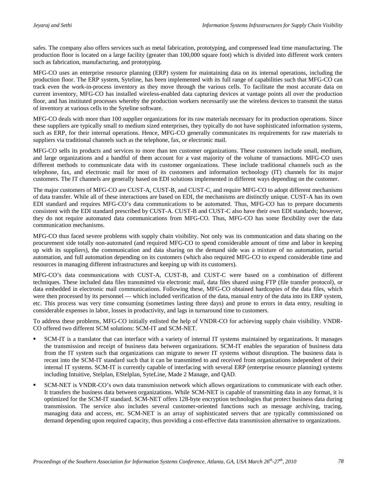safes. The company also offers services such as metal fabrication, prototyping, and compressed lead time manufacturing. The production floor is located on a large facility (greater than 100,000 square foot) which is divided into different work centers such as fabrication, manufacturing, and prototyping.

MFG-CO uses an enterprise resource planning (ERP) system for maintaining data on its internal operations, including the production floor. The ERP system, Syteline, has been implemented with its full range of capabilities such that MFG-CO can track even the work-in-process inventory as they move through the various cells. To facilitate the most accurate data on current inventory, MFG-CO has installed wireless-enabled data capturing devices at vantage points all over the production floor, and has instituted processes whereby the production workers necessarily use the wireless devices to transmit the status of inventory at various cells to the Syteline software.

MFG-CO deals with more than 100 supplier organizations for its raw materials necessary for its production operations. Since these suppliers are typically small to medium sized enterprises, they typically do not have sophisticated information systems, such as ERP, for their internal operations. Hence, MFG-CO generally communicates its requirements for raw materials to suppliers via traditional channels such as the telephone, fax, or electronic mail.

MFG-CO sells its products and services to more than ten customer organizations. These customers include small, medium, and large organizations and a handful of them account for a vast majority of the volume of transactions. MFG-CO uses different methods to communicate data with its customer organizations. These include traditional channels such as the telephone, fax, and electronic mail for most of its customers and information technology (IT) channels for its major customers. The IT channels are generally based on EDI solutions implemented in different ways depending on the customer.

The major customers of MFG-CO are CUST-A, CUST-B, and CUST-C, and require MFG-CO to adopt different mechanisms of data transfer. While all of these interactions are based on EDI, the mechanisms are distinctly unique. CUST-A has its own EDI standard and requires MFG-CO's data communications to be automated. Thus, MFG-CO has to prepare documents consistent with the EDI standard prescribed by CUST-A. CUST-B and CUST-C also have their own EDI standards; however, they do not require automated data communications from MFG-CO. Thus, MFG-CO has some flexibility over the data communication mechanisms.

MFG-CO thus faced severe problems with supply chain visibility. Not only was its communication and data sharing on the procurement side totally non-automated (and required MFG-CO to spend considerable amount of time and labor in keeping up with its suppliers), the communication and data sharing on the demand side was a mixture of no automation, partial automation, and full automation depending on its customers (which also required MFG-CO to expend considerable time and resources in managing different infrastructures and keeping up with its customers).

MFG-CO's data communications with CUST-A, CUST-B, and CUST-C were based on a combination of different techniques. These included data files transmitted via electronic mail, data files shared using FTP (file transfer protocol), or data embedded in electronic mail communications. Following these, MFG-CO obtained hardcopies of the data files, which were then processed by its personnel — which included verification of the data, manual entry of the data into its ERP system, etc. This process was very time consuming (sometimes lasting three days) and prone to errors in data entry, resulting in considerable expenses in labor, losses in productivity, and lags in turnaround time to customers.

To address these problems, MFG-CO initially enlisted the help of VNDR-CO for achieving supply chain visibility. VNDR-CO offered two different SCM solutions: SCM-IT and SCM-NET.

- SCM-IT is a translator that can interface with a variety of internal IT systems maintained by organizations. It manages the transmission and receipt of business data between organizations. SCM-IT enables the separation of business data from the IT system such that organizations can migrate to newer IT systems without disruption. The business data is recast into the SCM-IT standard such that it can be transmitted to and received from organizations independent of their internal IT systems. SCM-IT is currently capable of interfacing with several ERP (enterprise resource planning) systems including Intuitive, Stelplan, EStelplan, SyteLine, Made 2 Manage, and QAD.
- SCM-NET is VNDR-CO's own data transmission network which allows organizations to communicate with each other. It transfers the business data between organizations. While SCM-NET is capable of transmitting data in any format, it is optimized for the SCM-IT standard. SCM-NET offers 128-byte encryption technologies that protect business data during transmission. The service also includes several customer-oriented functions such as message archiving, tracing, managing data and access, etc. SCM-NET is an array of sophisticated servers that are typically commissioned on demand depending upon required capacity, thus providing a cost-effective data transmission alternative to organizations.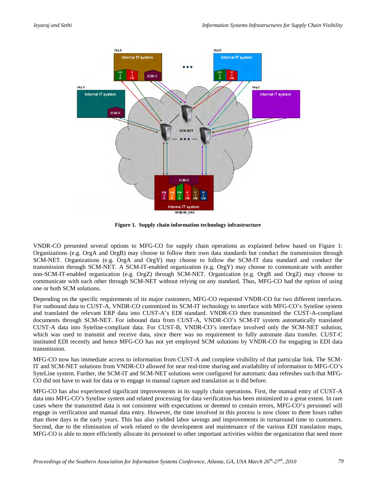

**Figure 1. Supply chain information technology infrastructure**

VNDR-CO presented several options to MFG-CO for supply chain operations as explained below based on Figure 1: Organizations (e.g. OrgA and OrgB) may choose to follow their own data standards but conduct the transmission through SCM-NET. Organizations (e.g. OrgA and OrgY) may choose to follow the SCM-IT data standard and conduct the transmission through SCM-NET. A SCM-IT-enabled organization (e.g. OrgY) may choose to communicate with another non-SCM-IT-enabled organization (e.g. OrgZ) through SCM-NET. Organization (e.g. OrgB and OrgZ) may choose to communicate with each other through SCM-NET without relying on any standard. Thus, MFG-CO had the option of using one or both SCM solutions.

Depending on the specific requirements of its major customers, MFG-CO requested VNDR-CO for two different interfaces. For outbound data to CUST-A, VNDR-CO customized its SCM-IT technology to interface with MFG-CO's Syteline system and translated the relevant ERP data into CUST-A's EDI standard. VNDR-CO then transmitted the CUST-A-compliant documents through SCM-NET. For inbound data from CUST-A, VNDR-CO's SCM-IT system automatically translated CUST-A data into Syteline-compliant data. For CUST-B, VNDR-CO's interface involved only the SCM-NET solution, which was used to transmit and receive data, since there was no requirement to fully automate data transfer. CUST-C instituted EDI recently and hence MFG-CO has not yet employed SCM solutions by VNDR-CO for engaging in EDI data transmission.

MFG-CO now has immediate access to information from CUST-A and complete visibility of that particular link. The SCM-IT and SCM-NET solutions from VNDR-CO allowed for near real-time sharing and availability of information to MFG-CO's SyteLine system. Further, the SCM-IT and SCM-NET solutions were configured for automatic data refreshes such that MFG-CO did not have to wait for data or to engage in manual capture and translation as it did before.

MFG-CO has also experienced significant improvements in its supply chain operations. First, the manual entry of CUST-A data into MFG-CO's Syteline system and related processing for data verification has been minimized to a great extent. In rare cases where the transmitted data is not consistent with expectations or deemed to contain errors, MFG-CO's personnel will engage in verification and manual data entry. However, the time involved in this process is now closer to three hours rather than three days in the early years. This has also yielded labor savings and improvements in turnaround time to customers. Second, due to the elimination of work related to the development and maintenance of the various EDI translation maps, MFG-CO is able to more efficiently allocate its personnel to other important activities within the organization that need more